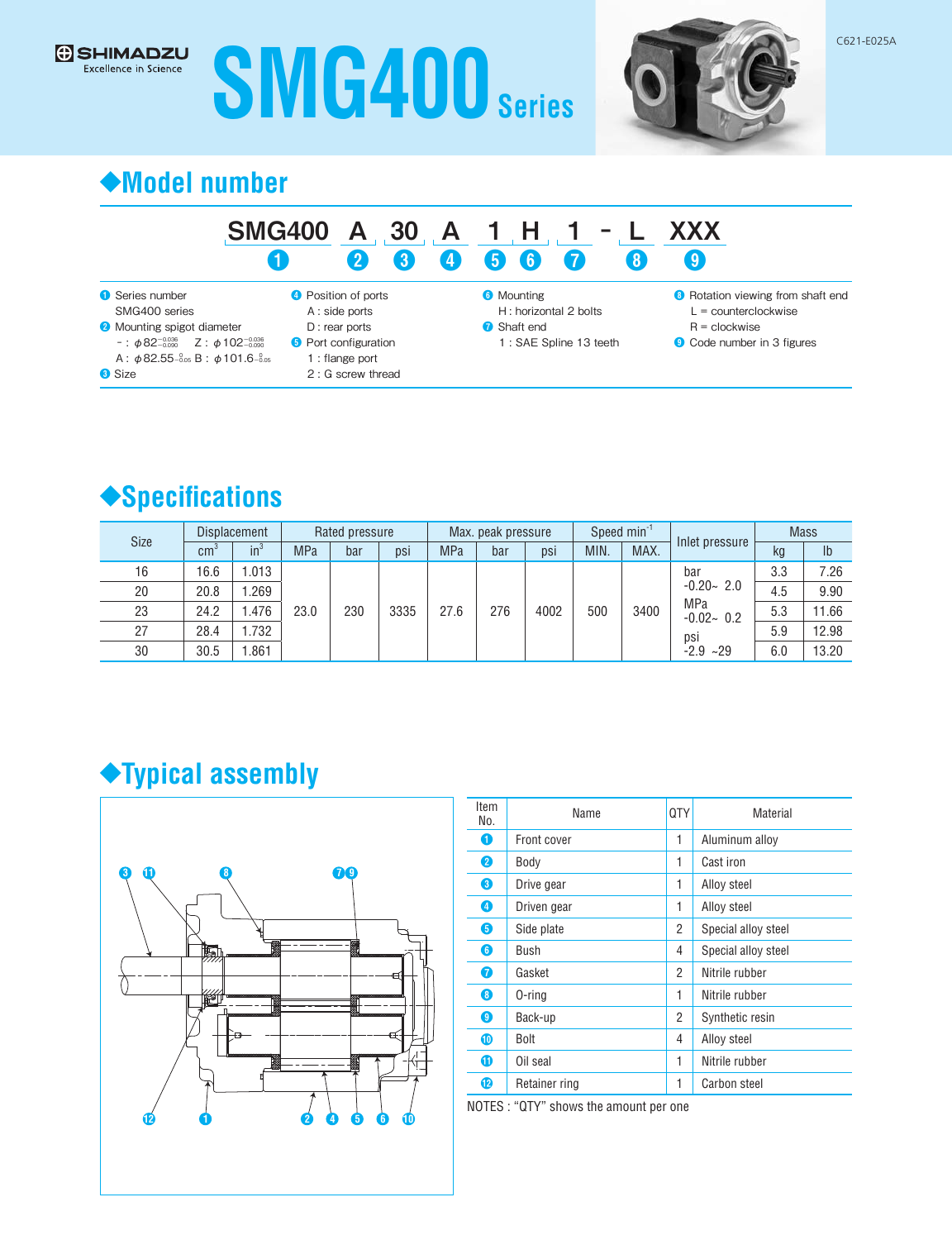# **G** SHIMADZU **SMG400 Series**



## **◆Model number**

#### SMG400 A 30 A 1 H 1 -❶ ❷ ❸ ❹ ❺ ❻  $1<sub>1</sub>$ ❼ L XXX ❽ ❾

| Series number                                                     | <b>O</b> Position of po |
|-------------------------------------------------------------------|-------------------------|
| SMG400 series                                                     | A : side ports          |
| <b>O</b> Mounting spigot diameter                                 | $D:$ rear ports         |
| $-$ : $\phi$ 82 <sup>-0.036</sup> Z: $\phi$ 102 <sup>-0.036</sup> | <b>6</b> Port configura |
| A: $\phi$ 82.55 $-$ 0.05 B: $\phi$ 101.6 $-$ 0.05                 | 1 : flange por          |
| <b>3</b> Size                                                     | $2:G$ screw t           |
|                                                                   |                         |

ports

- 
- uration
- ort thread

**6** Mounting H : horizontal 2 bolts

- ❼ Shaft end
	- 1 : SAE Spline 13 teeth
- <sup>6</sup> Rotation viewing from shaft end L = counterclockwise
	- R = clockwise
- ❾ Code number in 3 figures



| <b>Displacement</b><br><b>Size</b> |      |                       | Rated pressure |            | Max. peak pressure |      |            | Speed $min^{-1}$ |      |      | <b>Mass</b> |                      |               |       |      |
|------------------------------------|------|-----------------------|----------------|------------|--------------------|------|------------|------------------|------|------|-------------|----------------------|---------------|-------|------|
|                                    |      | $\mathsf{cm}^{\circ}$ | $in^3$         | <b>MPa</b> | bar                | psi  | <b>MPa</b> | bar              | psi  | MIN. | MAX.        | Inlet pressure       | kg            | Ib    |      |
| 16                                 | 16.6 | .013                  |                |            |                    |      |            |                  |      | bar  | 3.3         | 7.26                 |               |       |      |
| 20                                 | 20.8 | .269                  | 23.0           |            |                    |      |            |                  |      |      |             |                      | $-0.20 - 2.0$ | 4.5   | 9.90 |
| 23                                 | 24.2 | .476                  |                |            | 230                | 3335 | 27.6       | 276              | 4002 | 500  | 3400        | MPa<br>$-0.02 - 0.2$ | 5.3           | 11.66 |      |
| 27                                 | 28.4 | .732                  |                |            |                    |      |            |                  |      |      | psi         | 5.9                  | 12.98         |       |      |
| 30                                 | 30.5 | .861                  |                |            |                    |      |            |                  |      |      | $-2.9 -29$  | 6.0                  | 13.20         |       |      |

## **◆Typical assembly**



| Item<br>No. | Name          | 0TY | Material            |
|-------------|---------------|-----|---------------------|
| O           | Front cover   | 1   | Aluminum alloy      |
| 2           | Body          | 1   | Cast iron           |
| 0           | Drive gear    | 1   | Alloy steel         |
| 4           | Driven gear   | 1   | Alloy steel         |
| 6           | Side plate    | 2   | Special alloy steel |
| 6           | Bush          | 4   | Special alloy steel |
| 6           | Gasket        | 2   | Nitrile rubber      |
| 8           | 0-ring        | 1   | Nitrile rubber      |
| 0           | Back-up       | 2   | Synthetic resin     |
| ⋒           | Bolt          | 4   | Alloy steel         |
| 6           | Oil seal      | 1   | Nitrile rubber      |
| 12          | Retainer ring | 1   | Carbon steel        |

NOTES : "QTY" shows the amount per one

C621-E025A